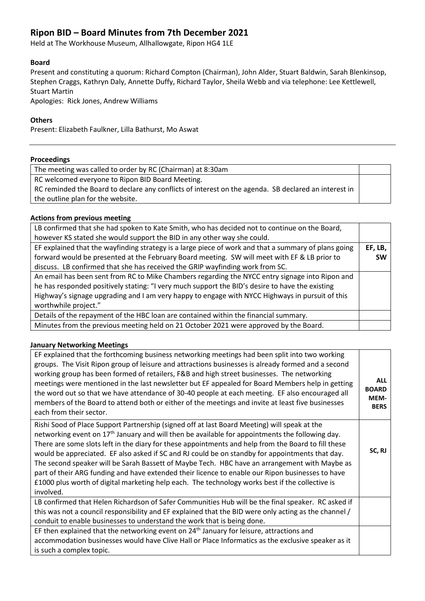# **Ripon BID – Board Minutes from 7th December 2021**

Held at The Workhouse Museum, Allhallowgate, Ripon HG4 1LE

## **Board**

Present and constituting a quorum: Richard Compton (Chairman), John Alder, Stuart Baldwin, Sarah Blenkinsop, Stephen Craggs, Kathryn Daly, Annette Duffy, Richard Taylor, Sheila Webb and via telephone: Lee Kettlewell, Stuart Martin

Apologies: Rick Jones, Andrew Williams

# **Others**

Present: Elizabeth Faulkner, Lilla Bathurst, Mo Aswat

#### **Proceedings**

| The meeting was called to order by RC (Chairman) at 8:30am                                           |  |
|------------------------------------------------------------------------------------------------------|--|
| RC welcomed everyone to Ripon BID Board Meeting.                                                     |  |
| RC reminded the Board to declare any conflicts of interest on the agenda. SB declared an interest in |  |
| the outline plan for the website.                                                                    |  |
|                                                                                                      |  |

#### **Actions from previous meeting**

| LB confirmed that she had spoken to Kate Smith, who has decided not to continue on the Board,        |           |
|------------------------------------------------------------------------------------------------------|-----------|
| however KS stated she would support the BID in any other way she could.                              |           |
| EF explained that the wayfinding strategy is a large piece of work and that a summary of plans going | EF, LB,   |
| forward would be presented at the February Board meeting. SW will meet with EF & LB prior to         | <b>SW</b> |
| discuss. LB confirmed that she has received the GRIP wayfinding work from SC.                        |           |
| An email has been sent from RC to Mike Chambers regarding the NYCC entry signage into Ripon and      |           |
| he has responded positively stating: "I very much support the BID's desire to have the existing      |           |
| Highway's signage upgrading and I am very happy to engage with NYCC Highways in pursuit of this      |           |
| worthwhile project."                                                                                 |           |
| Details of the repayment of the HBC loan are contained within the financial summary.                 |           |
| Minutes from the previous meeting held on 21 October 2021 were approved by the Board.                |           |

#### **January Networking Meetings**

| EF explained that the forthcoming business networking meetings had been split into two working<br>groups. The Visit Ripon group of leisure and attractions businesses is already formed and a second<br>working group has been formed of retailers, F&B and high street businesses. The networking<br>meetings were mentioned in the last newsletter but EF appealed for Board Members help in getting<br>the word out so that we have attendance of 30-40 people at each meeting. EF also encouraged all<br>members of the Board to attend both or either of the meetings and invite at least five businesses<br>each from their sector.                                                                                                  | <b>ALL</b><br><b>BOARD</b><br>MEM-<br><b>BERS</b> |
|--------------------------------------------------------------------------------------------------------------------------------------------------------------------------------------------------------------------------------------------------------------------------------------------------------------------------------------------------------------------------------------------------------------------------------------------------------------------------------------------------------------------------------------------------------------------------------------------------------------------------------------------------------------------------------------------------------------------------------------------|---------------------------------------------------|
| Rishi Sood of Place Support Partnership (signed off at last Board Meeting) will speak at the<br>networking event on 17 <sup>th</sup> January and will then be available for appointments the following day.<br>There are some slots left in the diary for these appointments and help from the Board to fill these<br>would be appreciated. EF also asked if SC and RJ could be on standby for appointments that day.<br>The second speaker will be Sarah Bassett of Maybe Tech. HBC have an arrangement with Maybe as<br>part of their ARG funding and have extended their licence to enable our Ripon businesses to have<br>£1000 plus worth of digital marketing help each. The technology works best if the collective is<br>involved. | SC, RJ                                            |
| LB confirmed that Helen Richardson of Safer Communities Hub will be the final speaker. RC asked if<br>this was not a council responsibility and EF explained that the BID were only acting as the channel /<br>conduit to enable businesses to understand the work that is being done.                                                                                                                                                                                                                                                                                                                                                                                                                                                     |                                                   |
| EF then explained that the networking event on $24th$ January for leisure, attractions and<br>accommodation businesses would have Clive Hall or Place Informatics as the exclusive speaker as it<br>is such a complex topic.                                                                                                                                                                                                                                                                                                                                                                                                                                                                                                               |                                                   |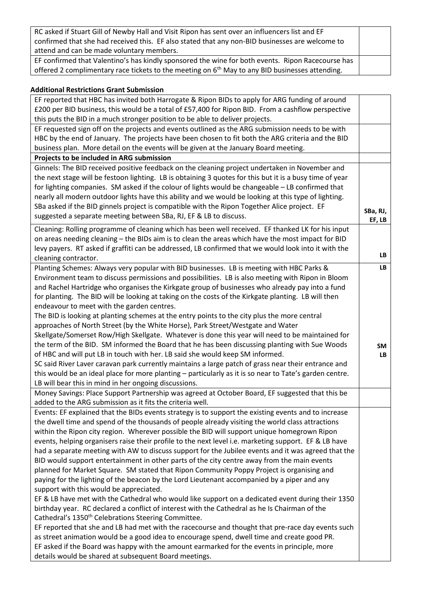| RC asked if Stuart Gill of Newby Hall and Visit Ripon has sent over an influencers list and EF  |  |
|-------------------------------------------------------------------------------------------------|--|
| confirmed that she had received this. EF also stated that any non-BID businesses are welcome to |  |
| attend and can be made voluntary members.                                                       |  |
|                                                                                                 |  |

EF confirmed that Valentino's has kindly sponsored the wine for both events. Ripon Racecourse has offered 2 complimentary race tickets to the meeting on 6th May to any BID businesses attending.

| <b>Additional Restrictions Grant Submission</b>                                                          |           |
|----------------------------------------------------------------------------------------------------------|-----------|
| EF reported that HBC has invited both Harrogate & Ripon BIDs to apply for ARG funding of around          |           |
| £200 per BID business, this would be a total of £57,400 for Ripon BID. From a cashflow perspective       |           |
| this puts the BID in a much stronger position to be able to deliver projects.                            |           |
| EF requested sign off on the projects and events outlined as the ARG submission needs to be with         |           |
| HBC by the end of January. The projects have been chosen to fit both the ARG criteria and the BID        |           |
| business plan. More detail on the events will be given at the January Board meeting.                     |           |
| Projects to be included in ARG submission                                                                |           |
| Ginnels: The BID received positive feedback on the cleaning project undertaken in November and           |           |
| the next stage will be festoon lighting. LB is obtaining 3 quotes for this but it is a busy time of year |           |
| for lighting companies. SM asked if the colour of lights would be changeable - LB confirmed that         |           |
| nearly all modern outdoor lights have this ability and we would be looking at this type of lighting.     |           |
| SBa asked if the BID ginnels project is compatible with the Ripon Together Alice project. EF             |           |
| suggested a separate meeting between SBa, RJ, EF & LB to discuss.                                        | SBa, RJ,  |
|                                                                                                          | EF, LB    |
| Cleaning: Rolling programme of cleaning which has been well received. EF thanked LK for his input        |           |
| on areas needing cleaning - the BIDs aim is to clean the areas which have the most impact for BID        |           |
| levy payers. RT asked if graffiti can be addressed, LB confirmed that we would look into it with the     | <b>LB</b> |
| cleaning contractor.                                                                                     |           |
| Planting Schemes: Always very popular with BID businesses. LB is meeting with HBC Parks &                | <b>LB</b> |
| Environment team to discuss permissions and possibilities. LB is also meeting with Ripon in Bloom        |           |
| and Rachel Hartridge who organises the Kirkgate group of businesses who already pay into a fund          |           |
| for planting. The BID will be looking at taking on the costs of the Kirkgate planting. LB will then      |           |
| endeavour to meet with the garden centres.                                                               |           |
| The BID is looking at planting schemes at the entry points to the city plus the more central             |           |
| approaches of North Street (by the White Horse), Park Street/Westgate and Water                          |           |
| Skellgate/Somerset Row/High Skellgate. Whatever is done this year will need to be maintained for         |           |
| the term of the BID. SM informed the Board that he has been discussing planting with Sue Woods           | SM        |
| of HBC and will put LB in touch with her. LB said she would keep SM informed.                            | <b>LB</b> |
| SC said River Laver caravan park currently maintains a large patch of grass near their entrance and      |           |
| this would be an ideal place for more planting - particularly as it is so near to Tate's garden centre.  |           |
| LB will bear this in mind in her ongoing discussions.                                                    |           |
| Money Savings: Place Support Partnership was agreed at October Board, EF suggested that this be          |           |
| added to the ARG submission as it fits the criteria well.                                                |           |
| Events: EF explained that the BIDs events strategy is to support the existing events and to increase     |           |
| the dwell time and spend of the thousands of people already visiting the world class attractions         |           |
| within the Ripon city region. Wherever possible the BID will support unique homegrown Ripon              |           |
| events, helping organisers raise their profile to the next level i.e. marketing support. EF & LB have    |           |
| had a separate meeting with AW to discuss support for the Jubilee events and it was agreed that the      |           |
| BID would support entertainment in other parts of the city centre away from the main events              |           |
| planned for Market Square. SM stated that Ripon Community Poppy Project is organising and                |           |
| paying for the lighting of the beacon by the Lord Lieutenant accompanied by a piper and any              |           |
| support with this would be appreciated.                                                                  |           |
| EF & LB have met with the Cathedral who would like support on a dedicated event during their 1350        |           |
| birthday year. RC declared a conflict of interest with the Cathedral as he Is Chairman of the            |           |
| Cathedral's 1350 <sup>th</sup> Celebrations Steering Committee.                                          |           |
| EF reported that she and LB had met with the racecourse and thought that pre-race day events such        |           |
| as street animation would be a good idea to encourage spend, dwell time and create good PR.              |           |
| EF asked if the Board was happy with the amount earmarked for the events in principle, more              |           |
| details would be shared at subsequent Board meetings.                                                    |           |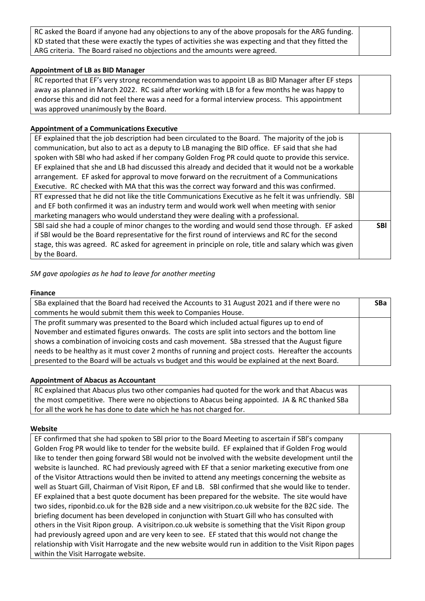RC asked the Board if anyone had any objections to any of the above proposals for the ARG funding. KD stated that these were exactly the types of activities she was expecting and that they fitted the ARG criteria. The Board raised no objections and the amounts were agreed.

# **Appointment of LB as BID Manager**

RC reported that EF's very strong recommendation was to appoint LB as BID Manager after EF steps away as planned in March 2022. RC said after working with LB for a few months he was happy to endorse this and did not feel there was a need for a formal interview process. This appointment was approved unanimously by the Board.

#### **Appointment of a Communications Executive**

| communication, but also to act as a deputy to LB managing the BID office. EF said that she had<br>spoken with SBI who had asked if her company Golden Frog PR could quote to provide this service.<br>EF explained that she and LB had discussed this already and decided that it would not be a workable<br>arrangement. EF asked for approval to move forward on the recruitment of a Communications<br>Executive. RC checked with MA that this was the correct way forward and this was confirmed.<br>RT expressed that he did not like the title Communications Executive as he felt it was unfriendly. SBI<br>and EF both confirmed it was an industry term and would work well when meeting with senior<br>marketing managers who would understand they were dealing with a professional.<br>SBI said she had a couple of minor changes to the wording and would send those through. EF asked<br><b>SBI</b><br>if SBI would be the Board representative for the first round of interviews and RC for the second<br>stage, this was agreed. RC asked for agreement in principle on role, title and salary which was given<br>by the Board. | EF explained that the job description had been circulated to the Board. The majority of the job is |  |
|-------------------------------------------------------------------------------------------------------------------------------------------------------------------------------------------------------------------------------------------------------------------------------------------------------------------------------------------------------------------------------------------------------------------------------------------------------------------------------------------------------------------------------------------------------------------------------------------------------------------------------------------------------------------------------------------------------------------------------------------------------------------------------------------------------------------------------------------------------------------------------------------------------------------------------------------------------------------------------------------------------------------------------------------------------------------------------------------------------------------------------------------------|----------------------------------------------------------------------------------------------------|--|
|                                                                                                                                                                                                                                                                                                                                                                                                                                                                                                                                                                                                                                                                                                                                                                                                                                                                                                                                                                                                                                                                                                                                                 |                                                                                                    |  |
|                                                                                                                                                                                                                                                                                                                                                                                                                                                                                                                                                                                                                                                                                                                                                                                                                                                                                                                                                                                                                                                                                                                                                 |                                                                                                    |  |
|                                                                                                                                                                                                                                                                                                                                                                                                                                                                                                                                                                                                                                                                                                                                                                                                                                                                                                                                                                                                                                                                                                                                                 |                                                                                                    |  |
|                                                                                                                                                                                                                                                                                                                                                                                                                                                                                                                                                                                                                                                                                                                                                                                                                                                                                                                                                                                                                                                                                                                                                 |                                                                                                    |  |
|                                                                                                                                                                                                                                                                                                                                                                                                                                                                                                                                                                                                                                                                                                                                                                                                                                                                                                                                                                                                                                                                                                                                                 |                                                                                                    |  |
|                                                                                                                                                                                                                                                                                                                                                                                                                                                                                                                                                                                                                                                                                                                                                                                                                                                                                                                                                                                                                                                                                                                                                 |                                                                                                    |  |
|                                                                                                                                                                                                                                                                                                                                                                                                                                                                                                                                                                                                                                                                                                                                                                                                                                                                                                                                                                                                                                                                                                                                                 |                                                                                                    |  |
|                                                                                                                                                                                                                                                                                                                                                                                                                                                                                                                                                                                                                                                                                                                                                                                                                                                                                                                                                                                                                                                                                                                                                 |                                                                                                    |  |
|                                                                                                                                                                                                                                                                                                                                                                                                                                                                                                                                                                                                                                                                                                                                                                                                                                                                                                                                                                                                                                                                                                                                                 |                                                                                                    |  |
|                                                                                                                                                                                                                                                                                                                                                                                                                                                                                                                                                                                                                                                                                                                                                                                                                                                                                                                                                                                                                                                                                                                                                 |                                                                                                    |  |
|                                                                                                                                                                                                                                                                                                                                                                                                                                                                                                                                                                                                                                                                                                                                                                                                                                                                                                                                                                                                                                                                                                                                                 |                                                                                                    |  |
|                                                                                                                                                                                                                                                                                                                                                                                                                                                                                                                                                                                                                                                                                                                                                                                                                                                                                                                                                                                                                                                                                                                                                 |                                                                                                    |  |

*SM gave apologies as he had to leave for another meeting*

#### **Finance**

| SBa explained that the Board had received the Accounts to 31 August 2021 and if there were no      | <b>SBa</b> |
|----------------------------------------------------------------------------------------------------|------------|
| comments he would submit them this week to Companies House.                                        |            |
| The profit summary was presented to the Board which included actual figures up to end of           |            |
| November and estimated figures onwards. The costs are split into sectors and the bottom line       |            |
| shows a combination of invoicing costs and cash movement. SBa stressed that the August figure      |            |
| needs to be healthy as it must cover 2 months of running and project costs. Hereafter the accounts |            |
| presented to the Board will be actuals vs budget and this would be explained at the next Board.    |            |

#### **Appointment of Abacus as Accountant**

RC explained that Abacus plus two other companies had quoted for the work and that Abacus was the most competitive. There were no objections to Abacus being appointed. JA & RC thanked SBa for all the work he has done to date which he has not charged for.

#### **Website**

EF confirmed that she had spoken to SBl prior to the Board Meeting to ascertain if SBl's company Golden Frog PR would like to tender for the website build. EF explained that if Golden Frog would like to tender then going forward SBl would not be involved with the website development until the website is launched. RC had previously agreed with EF that a senior marketing executive from one of the Visitor Attractions would then be invited to attend any meetings concerning the website as well as Stuart Gill, Chairman of Visit Ripon, EF and LB. SBl confirmed that she would like to tender. EF explained that a best quote document has been prepared for the website. The site would have two sides, riponbid.co.uk for the B2B side and a new visitripon.co.uk website for the B2C side. The briefing document has been developed in conjunction with Stuart Gill who has consulted with others in the Visit Ripon group. A visitripon.co.uk website is something that the Visit Ripon group had previously agreed upon and are very keen to see. EF stated that this would not change the relationship with Visit Harrogate and the new website would run in addition to the Visit Ripon pages within the Visit Harrogate website.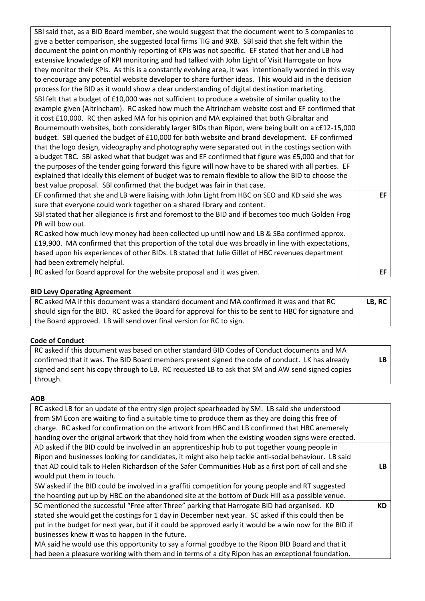| SBI said that, as a BID Board member, she would suggest that the document went to 5 companies to        |           |
|---------------------------------------------------------------------------------------------------------|-----------|
| give a better comparison, she suggested local firms TIG and 9XB. SBI said that she felt within the      |           |
| document the point on monthly reporting of KPIs was not specific. EF stated that her and LB had         |           |
| extensive knowledge of KPI monitoring and had talked with John Light of Visit Harrogate on how          |           |
| they monitor their KPIs. As this is a constantly evolving area, it was intentionally worded in this way |           |
| to encourage any potential website developer to share further ideas. This would aid in the decision     |           |
| process for the BID as it would show a clear understanding of digital destination marketing.            |           |
| SBI felt that a budget of £10,000 was not sufficient to produce a website of similar quality to the     |           |
| example given (Altrincham). RC asked how much the Altrincham website cost and EF confirmed that         |           |
| it cost £10,000. RC then asked MA for his opinion and MA explained that both Gibraltar and              |           |
| Bournemouth websites, both considerably larger BIDs than Ripon, were being built on a c£12-15,000       |           |
| budget. SBI queried the budget of £10,000 for both website and brand development. EF confirmed          |           |
| that the logo design, videography and photography were separated out in the costings section with       |           |
| a budget TBC. SBI asked what that budget was and EF confirmed that figure was £5,000 and that for       |           |
| the purposes of the tender going forward this figure will now have to be shared with all parties. EF    |           |
| explained that ideally this element of budget was to remain flexible to allow the BID to choose the     |           |
| best value proposal. SBI confirmed that the budget was fair in that case.                               |           |
| EF confirmed that she and LB were liaising with John Light from HBC on SEO and KD said she was          | EF        |
| sure that everyone could work together on a shared library and content.                                 |           |
| SBI stated that her allegiance is first and foremost to the BID and if becomes too much Golden Frog     |           |
| PR will bow out.                                                                                        |           |
| RC asked how much levy money had been collected up until now and LB & SBa confirmed approx.             |           |
| £19,900. MA confirmed that this proportion of the total due was broadly in line with expectations,      |           |
| based upon his experiences of other BIDs. LB stated that Julie Gillet of HBC revenues department        |           |
| had been extremely helpful.                                                                             |           |
| RC asked for Board approval for the website proposal and it was given.                                  | <b>EF</b> |
|                                                                                                         |           |

# **BID Levy Operating Agreement**

| RC asked MA if this document was a standard document and MA confirmed it was and that RC              | LB, RC |
|-------------------------------------------------------------------------------------------------------|--------|
| should sign for the BID. RC asked the Board for approval for this to be sent to HBC for signature and |        |
| the Board approved. LB will send over final version for RC to sign.                                   |        |

# **Code of Conduct**

| RC asked if this document was based on other standard BID Codes of Conduct documents and MA      |      |
|--------------------------------------------------------------------------------------------------|------|
| confirmed that it was. The BID Board members present signed the code of conduct. LK has already  | LB I |
| signed and sent his copy through to LB. RC requested LB to ask that SM and AW send signed copies |      |
| through.                                                                                         |      |

# **AOB**

| RC asked LB for an update of the entry sign project spearheaded by SM. LB said she understood           |           |
|---------------------------------------------------------------------------------------------------------|-----------|
| from SM Econ are waiting to find a suitable time to produce them as they are doing this free of         |           |
| charge. RC asked for confirmation on the artwork from HBC and LB confirmed that HBC aremerely           |           |
| handing over the original artwork that they hold from when the existing wooden signs were erected.      |           |
| AD asked if the BID could be involved in an apprenticeship hub to put together young people in          |           |
| Ripon and businesses looking for candidates, it might also help tackle anti-social behaviour. LB said   |           |
| that AD could talk to Helen Richardson of the Safer Communities Hub as a first port of call and she     | LB.       |
| would put them in touch.                                                                                |           |
| SW asked if the BID could be involved in a graffiti competition for young people and RT suggested       |           |
| the hoarding put up by HBC on the abandoned site at the bottom of Duck Hill as a possible venue.        |           |
| SC mentioned the successful "Free after Three" parking that Harrogate BID had organised. KD             | <b>KD</b> |
| stated she would get the costings for 1 day in December next year. SC asked if this could then be       |           |
| put in the budget for next year, but if it could be approved early it would be a win now for the BID if |           |
| businesses knew it was to happen in the future.                                                         |           |
| MA said he would use this opportunity to say a formal goodbye to the Ripon BID Board and that it        |           |
|                                                                                                         |           |